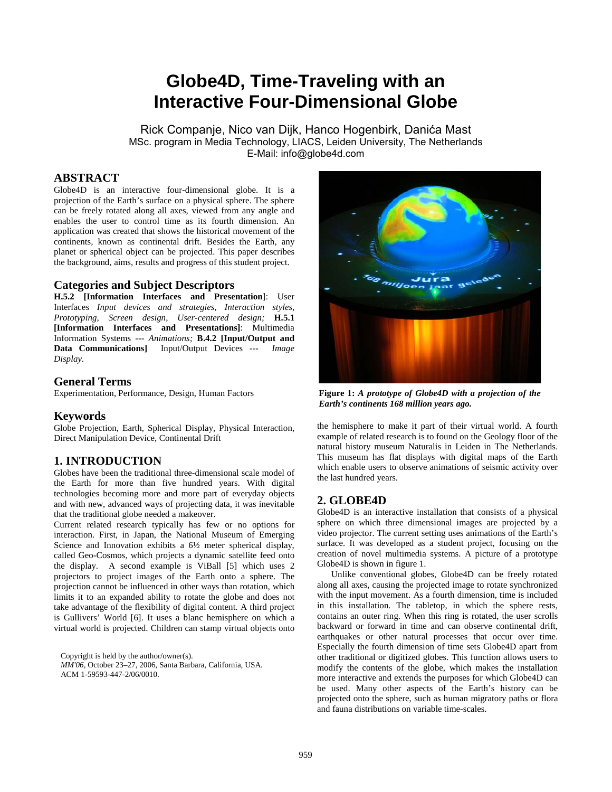# **Globe4D, Time-Traveling with an Interactive Four-Dimensional Globe**

Rick Companje, Nico van Dijk, Hanco Hogenbirk, Danića Mast MSc. program in Media Technology, LIACS, Leiden University, The Netherlands E-Mail: info@globe4d.com

# **ABSTRACT**

Globe4D is an interactive four-dimensional globe. It is a projection of the Earth's surface on a physical sphere. The sphere can be freely rotated along all axes, viewed from any angle and enables the user to control time as its fourth dimension. An application was created that shows the historical movement of the continents, known as continental drift. Besides the Earth, any planet or spherical object can be projected. This paper describes the background, aims, results and progress of this student project.

#### **Categories and Subject Descriptors**

**H.5.2 [Information Interfaces and Presentation**]: User Interfaces *Input devices and strategies*, *Interaction styles*, *Prototyping, Screen design*, *User-centered design;* **H.5.1 [Information Interfaces and Presentations]**: Multimedia Information Systems *--- Animations;* **B.4.2 [Input/Output and Data Communications]** Input/Output Devices *--- Image Display.* 

#### **General Terms**

Experimentation, Performance, Design, Human Factors

#### **Keywords**

Globe Projection, Earth, Spherical Display, Physical Interaction, Direct Manipulation Device, Continental Drift

#### **1. INTRODUCTION**

Globes have been the traditional three-dimensional scale model of the Earth for more than five hundred years. With digital technologies becoming more and more part of everyday objects and with new, advanced ways of projecting data, it was inevitable that the traditional globe needed a makeover.

Current related research typically has few or no options for interaction. First, in Japan, the National Museum of Emerging Science and Innovation exhibits a  $6\frac{1}{2}$  meter spherical display, called Geo-Cosmos, which projects a dynamic satellite feed onto the display. A second example is ViBall [5] which uses 2 projectors to project images of the Earth onto a sphere. The projection cannot be influenced in other ways than rotation, which limits it to an expanded ability to rotate the globe and does not take advantage of the flexibility of digital content. A third project is Gullivers' World [6]. It uses a blanc hemisphere on which a virtual world is projected. Children can stamp virtual objects onto

Copyright is held by the author/owner(s). *MM'06*, October 23–27, 2006, Santa Barbara, California, USA.

ACM 1-59593-447-2/06/0010.



**Figure 1:** *A prototype of Globe4D with a projection of the Earth's continents 168 million years ago.*

the hemisphere to make it part of their virtual world. A fourth example of related research is to found on the Geology floor of the natural history museum Naturalis in Leiden in The Netherlands. This museum has flat displays with digital maps of the Earth which enable users to observe animations of seismic activity over the last hundred years.

#### **2. GLOBE4D**

Globe4D is an interactive installation that consists of a physical sphere on which three dimensional images are projected by a video projector. The current setting uses animations of the Earth's surface. It was developed as a student project, focusing on the creation of novel multimedia systems. A picture of a prototype Globe4D is shown in figure 1.

Unlike conventional globes, Globe4D can be freely rotated along all axes, causing the projected image to rotate synchronized with the input movement. As a fourth dimension, time is included in this installation. The tabletop, in which the sphere rests, contains an outer ring. When this ring is rotated, the user scrolls backward or forward in time and can observe continental drift, earthquakes or other natural processes that occur over time. Especially the fourth dimension of time sets Globe4D apart from other traditional or digitized globes. This function allows users to modify the contents of the globe, which makes the installation more interactive and extends the purposes for which Globe4D can be used. Many other aspects of the Earth's history can be projected onto the sphere, such as human migratory paths or flora and fauna distributions on variable time-scales.